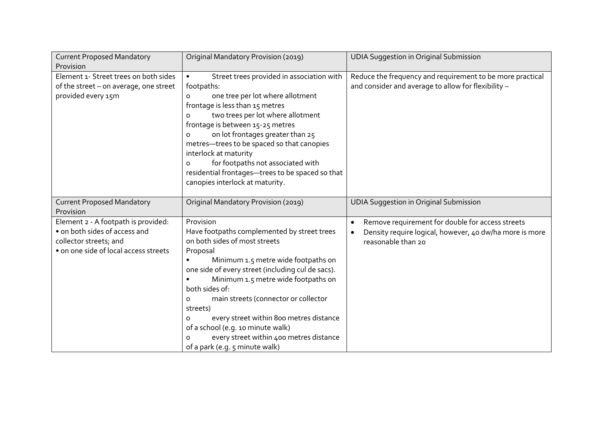| <b>Current Proposed Mandatory</b>                                                                                                       | Original Mandatory Provision (2019)                                                                                                                                                                                                                                                                                                                                                                                                                                                           | <b>UDIA Suggestion in Original Submission</b>                                                                                                  |
|-----------------------------------------------------------------------------------------------------------------------------------------|-----------------------------------------------------------------------------------------------------------------------------------------------------------------------------------------------------------------------------------------------------------------------------------------------------------------------------------------------------------------------------------------------------------------------------------------------------------------------------------------------|------------------------------------------------------------------------------------------------------------------------------------------------|
| Provision                                                                                                                               |                                                                                                                                                                                                                                                                                                                                                                                                                                                                                               |                                                                                                                                                |
| Element 1- Street trees on both sides<br>of the street - on average, one street<br>provided every 15m                                   | Street trees provided in association with<br>$\bullet$<br>footpaths:<br>one tree per lot where allotment<br>0<br>frontage is less than 15 metres<br>two trees per lot where allotment<br>o<br>frontage is between 15-25 metres<br>on lot frontages greater than 25<br>$\Omega$<br>metres-trees to be spaced so that canopies<br>interlock at maturity<br>for footpaths not associated with<br>$\Omega$<br>residential frontages-trees to be spaced so that<br>canopies interlock at maturity. | Reduce the frequency and requirement to be more practical<br>and consider and average to allow for flexibility -                               |
| <b>Current Proposed Mandatory</b><br>Provision                                                                                          | Original Mandatory Provision (2019)                                                                                                                                                                                                                                                                                                                                                                                                                                                           | <b>UDIA Suggestion in Original Submission</b>                                                                                                  |
| Element 2 - A footpath is provided:<br>• on both sides of access and<br>collector streets; and<br>• on one side of local access streets | Provision<br>Have footpaths complemented by street trees<br>on both sides of most streets<br>Proposal<br>Minimum 1.5 metre wide footpaths on<br>one side of every street (including cul de sacs).<br>Minimum 1.5 metre wide footpaths on<br>both sides of:<br>main streets (connector or collector<br>$\circ$<br>streets)<br>every street within 800 metres distance<br>O<br>of a school (e.g. 10 minute walk)<br>every street within 400 metres distance<br>of a park (e.g. 5 minute walk)   | Remove requirement for double for access streets<br>$\bullet$<br>Density require logical, however, 40 dw/ha more is more<br>reasonable than 20 |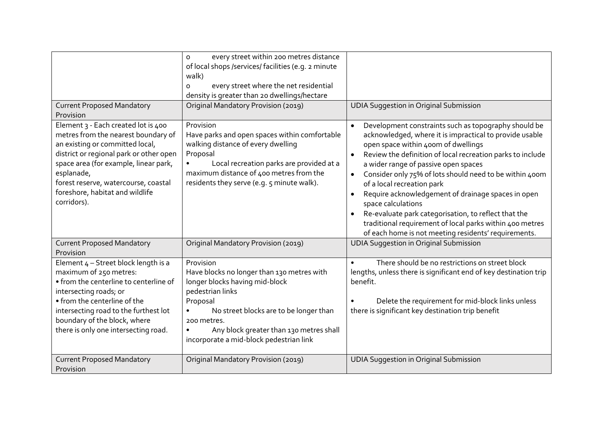|                                                                                                                                                                                                                                                                                                           | every street within 200 metres distance<br>$\Omega$<br>of local shops /services/ facilities (e.g. 2 minute<br>walk)<br>every street where the net residential<br>O<br>density is greater than 20 dwellings/hectare                                                                                 |                                                                                                                                                                                                                                                                                                                                                                                                                                                                                                                                                                                                                            |
|-----------------------------------------------------------------------------------------------------------------------------------------------------------------------------------------------------------------------------------------------------------------------------------------------------------|----------------------------------------------------------------------------------------------------------------------------------------------------------------------------------------------------------------------------------------------------------------------------------------------------|----------------------------------------------------------------------------------------------------------------------------------------------------------------------------------------------------------------------------------------------------------------------------------------------------------------------------------------------------------------------------------------------------------------------------------------------------------------------------------------------------------------------------------------------------------------------------------------------------------------------------|
| <b>Current Proposed Mandatory</b><br>Provision                                                                                                                                                                                                                                                            | Original Mandatory Provision (2019)                                                                                                                                                                                                                                                                | <b>UDIA Suggestion in Original Submission</b>                                                                                                                                                                                                                                                                                                                                                                                                                                                                                                                                                                              |
| Element 3 - Each created lot is 400<br>metres from the nearest boundary of<br>an existing or committed local,<br>district or regional park or other open<br>space area (for example, linear park,<br>esplanade,<br>forest reserve, watercourse, coastal<br>foreshore, habitat and wildlife<br>corridors). | Provision<br>Have parks and open spaces within comfortable<br>walking distance of every dwelling<br>Proposal<br>Local recreation parks are provided at a<br>maximum distance of 400 metres from the<br>residents they serve (e.g. 5 minute walk).                                                  | Development constraints such as topography should be<br>acknowledged, where it is impractical to provide usable<br>open space within 400m of dwellings<br>Review the definition of local recreation parks to include<br>a wider range of passive open spaces<br>Consider only 75% of lots should need to be within 400m<br>$\bullet$<br>of a local recreation park<br>Require acknowledgement of drainage spaces in open<br>space calculations<br>Re-evaluate park categorisation, to reflect that the<br>traditional requirement of local parks within 400 metres<br>of each home is not meeting residents' requirements. |
| <b>Current Proposed Mandatory</b><br>Provision                                                                                                                                                                                                                                                            | Original Mandatory Provision (2019)                                                                                                                                                                                                                                                                | <b>UDIA Suggestion in Original Submission</b>                                                                                                                                                                                                                                                                                                                                                                                                                                                                                                                                                                              |
| Element $4$ – Street block length is a<br>maximum of 250 metres:<br>• from the centerline to centerline of<br>intersecting roads; or<br>• from the centerline of the<br>intersecting road to the furthest lot<br>boundary of the block, where<br>there is only one intersecting road.                     | Provision<br>Have blocks no longer than 130 metres with<br>longer blocks having mid-block<br>pedestrian links<br>Proposal<br>No street blocks are to be longer than<br>$\bullet$<br>200 metres.<br>Any block greater than 130 metres shall<br>$\bullet$<br>incorporate a mid-block pedestrian link | There should be no restrictions on street block<br>$\bullet$<br>lengths, unless there is significant end of key destination trip<br>benefit.<br>Delete the requirement for mid-block links unless<br>there is significant key destination trip benefit                                                                                                                                                                                                                                                                                                                                                                     |
| <b>Current Proposed Mandatory</b><br>Provision                                                                                                                                                                                                                                                            | Original Mandatory Provision (2019)                                                                                                                                                                                                                                                                | <b>UDIA Suggestion in Original Submission</b>                                                                                                                                                                                                                                                                                                                                                                                                                                                                                                                                                                              |